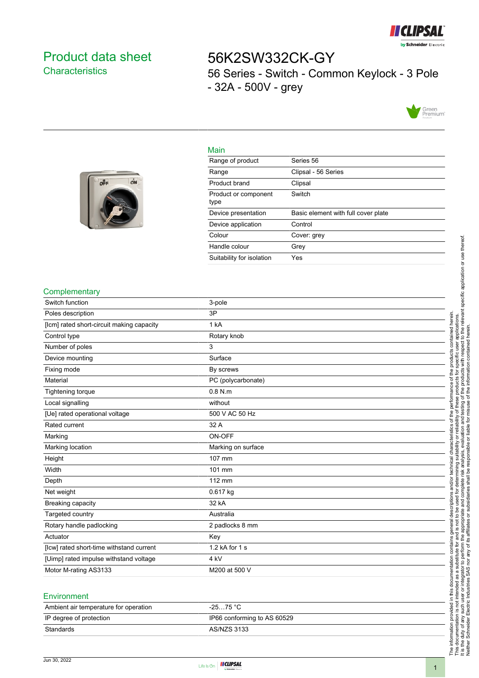

## <span id="page-0-0"></span>Product data sheet **Characteristics**

off

ON

# 56K2SW332CK-GY 56 Series - Switch - Common Keylock - 3 Pole - 32A - 500V - grey



#### Main

| Range of product             | Series 56                           |
|------------------------------|-------------------------------------|
| Range                        | Clipsal - 56 Series                 |
| Product brand                | Clipsal                             |
| Product or component<br>type | Switch                              |
| Device presentation          | Basic element with full cover plate |
| Device application           | Control                             |
| Colour                       | Cover: grey                         |
| Handle colour                | Grey                                |
| Suitability for isolation    | Yes                                 |

#### **Complementary**

| Switch function                           | 3-pole             |
|-------------------------------------------|--------------------|
| Poles description                         | 3P                 |
| [lcm] rated short-circuit making capacity | 1 kA               |
| Control type                              | Rotary knob        |
| Number of poles                           | 3                  |
| Device mounting                           | Surface            |
| Fixing mode                               | By screws          |
| Material                                  | PC (polycarbonate) |
| Tightening torque                         | $0.8$ N.m          |
| Local signalling                          | without            |
| [Ue] rated operational voltage            | 500 V AC 50 Hz     |
| Rated current                             | 32 A               |
| Marking                                   | ON-OFF             |
| Marking location                          | Marking on surface |
| Height                                    | 107 mm             |
| Width                                     | 101 mm             |
| Depth                                     | 112 mm             |
| Net weight                                | 0.617 kg           |
| Breaking capacity                         | 32 kA              |
| Targeted country                          | Australia          |
| Rotary handle padlocking                  | 2 padlocks 8 mm    |
| Actuator                                  | Key                |
| [lcw] rated short-time withstand current  | 1.2 kA for 1 s     |
| [Uimp] rated impulse withstand voltage    | 4 kV               |
| Motor M-rating AS3133                     | M200 at 500 V      |
|                                           |                    |

#### **Environment**

| Ambient air temperature for operation | -25…75 °C                   |
|---------------------------------------|-----------------------------|
| IP degree of protection               | IP66 conforming to AS 60529 |
| Standards                             | AS/NZS 3133                 |